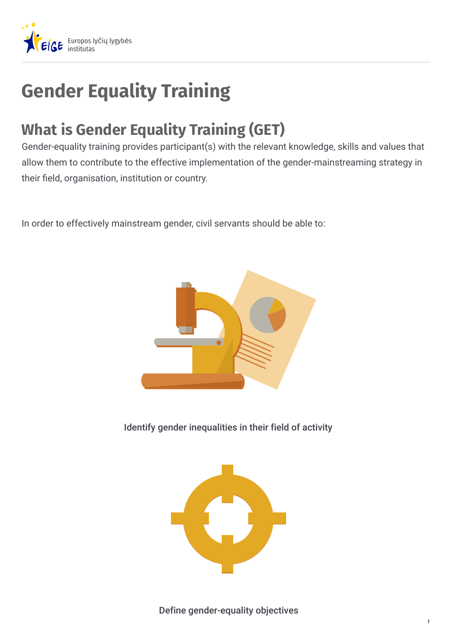

## **Gender Equality Training**

## **What is Gender Equality Training (GET)**

Gender-equality training provides participant(s) with the relevant knowledge, skills and values that allow them to contribute to the effective implementation of the gender-mainstreaming strategy in their field, organisation, institution or country.

In order to effectively mainstream gender, civil servants should be able to:



Identify gender inequalities in their field of activity

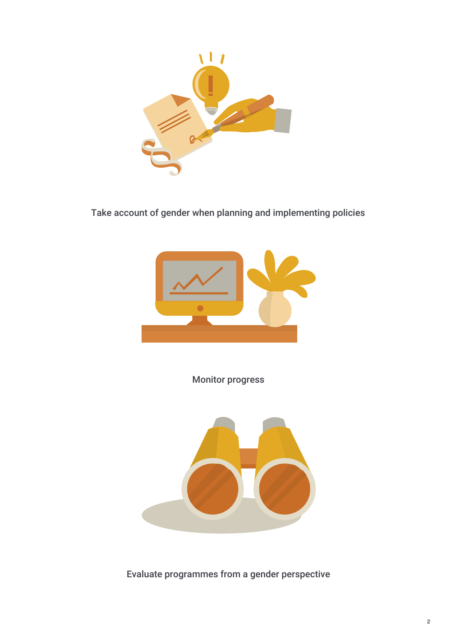

Take account of gender when planning and implementing policies



Monitor progress



Evaluate programmes from a gender perspective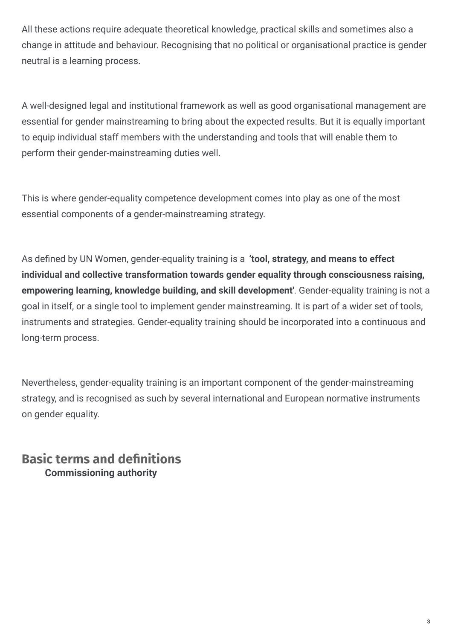All these actions require adequate theoretical knowledge, practical skills and sometimes also a change in attitude and behaviour. Recognising that no political or organisational practice is gender neutral is a learning process.

A well-designed legal and institutional framework as well as good organisational management are essential for gender mainstreaming to bring about the expected results. But it is equally important to equip individual staff members with the understanding and tools that will enable them to perform their gender-mainstreaming duties well.

This is where gender-equality competence development comes into play as one of the most essential components of a gender-mainstreaming strategy.

As defined by UN Women, gender-equality training is a 'tool, strategy, and means to effect **individual and collective transformation towards gender equality through consciousness raising, empowering learning, knowledge building, and skill development'**. Gender-equality training is not a goal in itself, or a single tool to implement gender mainstreaming. It is part of a wider set of tools, instruments and strategies. Gender-equality training should be incorporated into a continuous and long-term process.

Nevertheless, gender-equality training is an important component of the gender-mainstreaming strategy, and is recognised as such by several international and European normative instruments on gender equality.

**Basic terms and denitions Commissioning authority**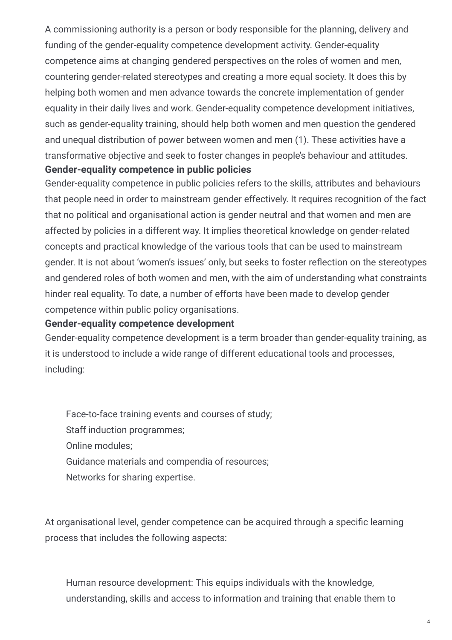A commissioning authority is a person or body responsible for the planning, delivery and funding of the gender-equality competence development activity. Gender-equality competence aims at changing gendered perspectives on the roles of women and men, countering gender-related stereotypes and creating a more equal society. It does this by helping both women and men advance towards the concrete implementation of gender equality in their daily lives and work. Gender-equality competence development initiatives, such as gender-equality training, should help both women and men question the gendered and unequal distribution of power between women and men (1). These activities have a transformative objective and seek to foster changes in people's behaviour and attitudes. **Gender-equality competence in public policies**

Gender-equality competence in public policies refers to the skills, attributes and behaviours that people need in order to mainstream gender effectively. It requires recognition of the fact that no political and organisational action is gender neutral and that women and men are affected by policies in a different way. It implies theoretical knowledge on gender-related concepts and practical knowledge of the various tools that can be used to mainstream gender. It is not about 'women's issues' only, but seeks to foster reflection on the stereotypes and gendered roles of both women and men, with the aim of understanding what constraints hinder real equality. To date, a number of efforts have been made to develop gender competence within public policy organisations.

## **Gender-equality competence development**

Gender-equality competence development is a term broader than gender-equality training, as it is understood to include a wide range of different educational tools and processes, including:

Face-to-face training events and courses of study; Staff induction programmes; Online modules; Guidance materials and compendia of resources; Networks for sharing expertise.

At organisational level, gender competence can be acquired through a specific learning process that includes the following aspects:

Human resource development: This equips individuals with the knowledge, understanding, skills and access to information and training that enable them to